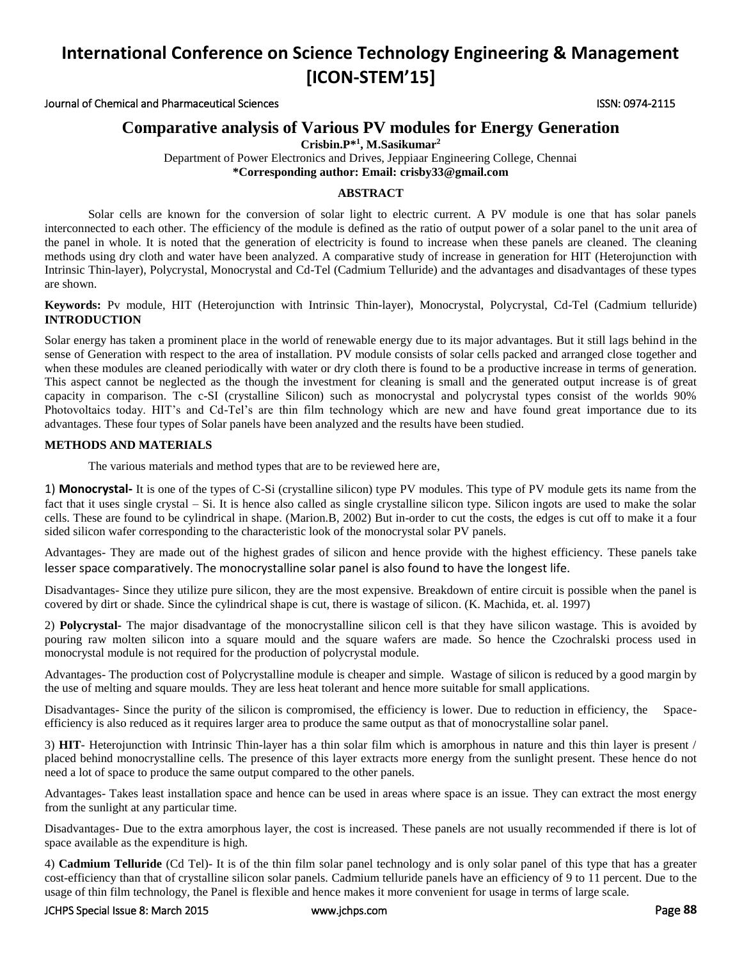Journal of Chemical and Pharmaceutical Sciences ISSN: 0974-2115

## **Comparative analysis of Various PV modules for Energy Generation**

**Crisbin.P\* 1 , M.Sasikumar<sup>2</sup>**

Department of Power Electronics and Drives, Jeppiaar Engineering College, Chennai **\*Corresponding author: Email: crisby33@gmail.com**

### **ABSTRACT**

Solar cells are known for the conversion of solar light to electric current. A PV module is one that has solar panels interconnected to each other. The efficiency of the module is defined as the ratio of output power of a solar panel to the unit area of the panel in whole. It is noted that the generation of electricity is found to increase when these panels are cleaned. The cleaning methods using dry cloth and water have been analyzed. A comparative study of increase in generation for HIT (Heterojunction with Intrinsic Thin-layer), Polycrystal, Monocrystal and Cd-Tel (Cadmium Telluride) and the advantages and disadvantages of these types are shown.

#### **Keywords:** Pv module, HIT (Heterojunction with Intrinsic Thin-layer), Monocrystal, Polycrystal, Cd-Tel (Cadmium telluride) **INTRODUCTION**

Solar energy has taken a prominent place in the world of renewable energy due to its major advantages. But it still lags behind in the sense of Generation with respect to the area of installation. PV module consists of solar cells packed and arranged close together and when these modules are cleaned periodically with water or dry cloth there is found to be a productive increase in terms of generation. This aspect cannot be neglected as the though the investment for cleaning is small and the generated output increase is of great capacity in comparison. The c-SI (crystalline Silicon) such as monocrystal and polycrystal types consist of the worlds 90% Photovoltaics today. HIT's and Cd-Tel's are thin film technology which are new and have found great importance due to its advantages. These four types of Solar panels have been analyzed and the results have been studied.

#### **METHODS AND MATERIALS**

The various materials and method types that are to be reviewed here are,

1) **Monocrystal-** It is one of the types of C-Si (crystalline silicon) type PV modules. This type of PV module gets its name from the fact that it uses single crystal – Si. It is hence also called as single crystalline silicon type. Silicon ingots are used to make the solar cells. These are found to be cylindrical in shape. (Marion.B, 2002) But in-order to cut the costs, the edges is cut off to make it a four sided silicon wafer corresponding to the characteristic look of the monocrystal solar PV panels.

Advantages- They are made out of the highest grades of silicon and hence provide with the highest efficiency. These panels take lesser space comparatively. The monocrystalline solar panel is also found to have the longest life.

Disadvantages- Since they utilize pure silicon, they are the most expensive. Breakdown of entire circuit is possible when the panel is covered by dirt or shade. Since the cylindrical shape is cut, there is wastage of silicon. (K. Machida, et. al. 1997)

2) **Polycrystal-** The major disadvantage of the monocrystalline silicon cell is that they have silicon wastage. This is avoided by pouring raw molten silicon into a square mould and the square wafers are made. So hence the Czochralski process used in monocrystal module is not required for the production of polycrystal module.

Advantages- The production cost of Polycrystalline module is cheaper and simple. Wastage of silicon is reduced by a good margin by the use of melting and square moulds. They are less heat tolerant and hence more suitable for small applications.

Disadvantages- Since the purity of the silicon is compromised, the efficiency is lower. Due to reduction in efficiency, the Spaceefficiency is also reduced as it requires larger area to produce the same output as that of monocrystalline solar panel.

3) **HIT**- Heterojunction with Intrinsic Thin-layer has a thin solar film which is amorphous in nature and this thin layer is present / placed behind monocrystalline cells. The presence of this layer extracts more energy from the sunlight present. These hence do not need a lot of space to produce the same output compared to the other panels.

Advantages- Takes least installation space and hence can be used in areas where space is an issue. They can extract the most energy from the sunlight at any particular time.

Disadvantages- Due to the extra amorphous layer, the cost is increased. These panels are not usually recommended if there is lot of space available as the expenditure is high.

4) **Cadmium Telluride** (Cd Tel)- It is of the thin film solar panel technology and is only solar panel of this type that has a greater cost-efficiency than that of crystalline silicon solar panels. Cadmium telluride panels have an efficiency of 9 to 11 percent. Due to the usage of thin film technology, the Panel is flexible and hence makes it more convenient for usage in terms of large scale.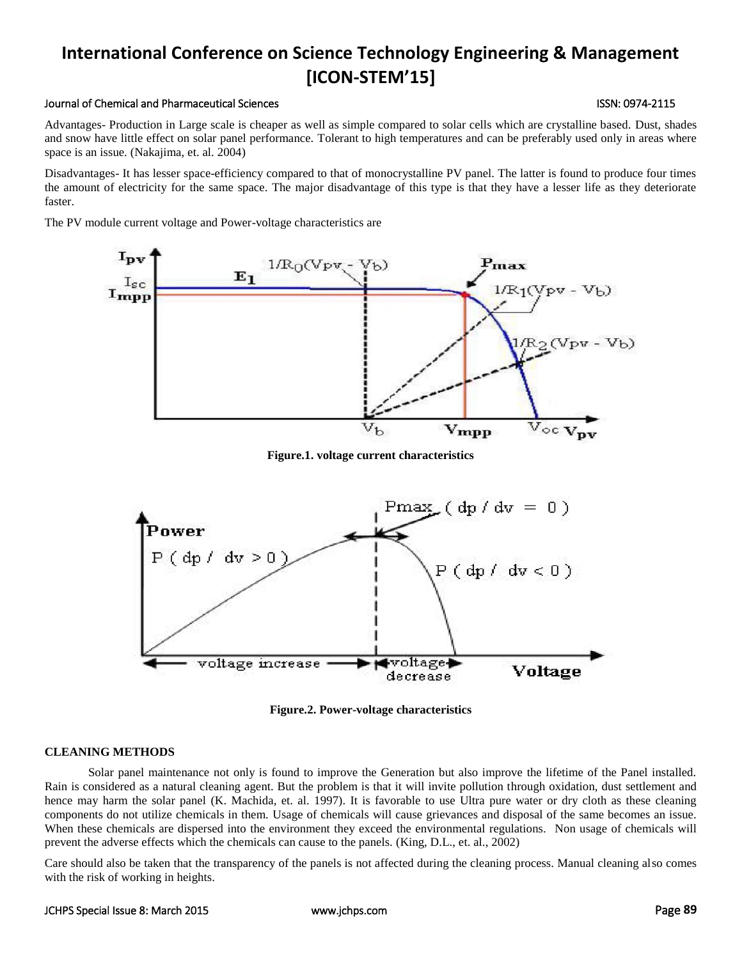#### Journal of Chemical and Pharmaceutical Sciences ISSN: 0974-2115

Advantages- Production in Large scale is cheaper as well as simple compared to solar cells which are crystalline based. Dust, shades and snow have little effect on solar panel performance. Tolerant to high temperatures and can be preferably used only in areas where space is an issue. (Nakajima, et. al. 2004)

Disadvantages- It has lesser space-efficiency compared to that of monocrystalline PV panel. The latter is found to produce four times the amount of electricity for the same space. The major disadvantage of this type is that they have a lesser life as they deteriorate faster.

The PV module current voltage and Power-voltage characteristics are



**Figure.1. voltage current characteristics**



**Figure.2. Power-voltage characteristics**

### **CLEANING METHODS**

Solar panel maintenance not only is found to improve the Generation but also improve the lifetime of the Panel installed. Rain is considered as a natural cleaning agent. But the problem is that it will invite pollution through oxidation, dust settlement and hence may harm the solar panel (K. Machida, et. al. 1997). It is favorable to use Ultra pure water or dry cloth as these cleaning components do not utilize chemicals in them. Usage of chemicals will cause grievances and disposal of the same becomes an issue. When these chemicals are dispersed into the environment they exceed the environmental regulations. Non usage of chemicals will prevent the adverse effects which the chemicals can cause to the panels. (King, D.L., et. al., 2002)

Care should also be taken that the transparency of the panels is not affected during the cleaning process. Manual cleaning also comes with the risk of working in heights.

#### JCHPS Special Issue 8: March 2015 [www.jchps.com](http://www.jchps.com/) Page **89**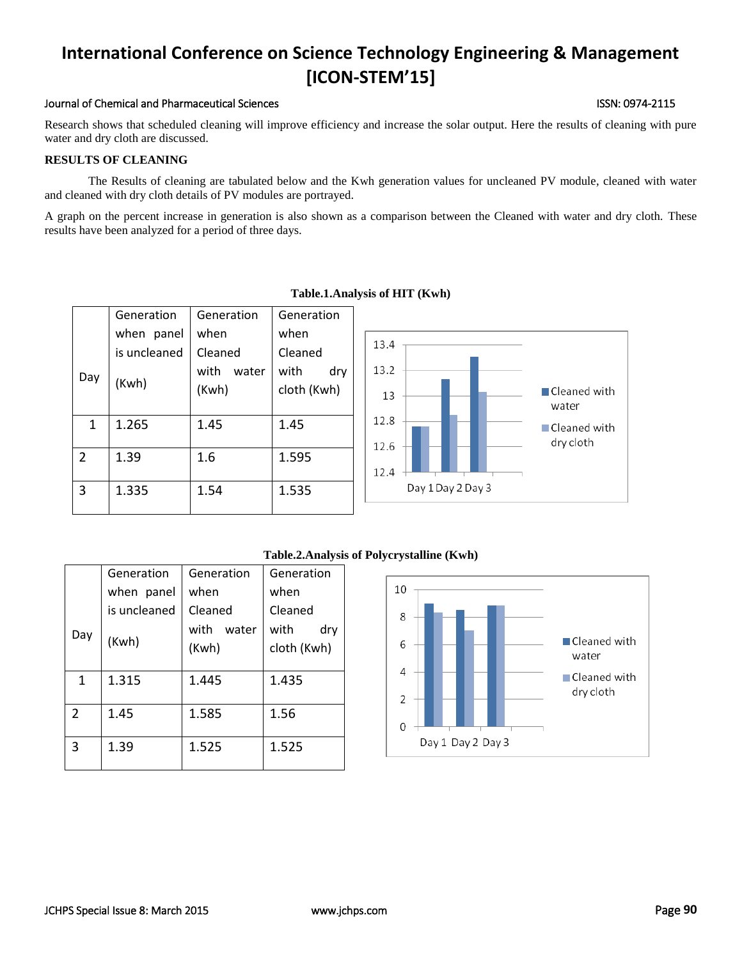### Journal of Chemical and Pharmaceutical Sciences ISSN: 0974-2115

Research shows that scheduled cleaning will improve efficiency and increase the solar output. Here the results of cleaning with pure water and dry cloth are discussed.

## **RESULTS OF CLEANING**

The Results of cleaning are tabulated below and the Kwh generation values for uncleaned PV module, cleaned with water and cleaned with dry cloth details of PV modules are portrayed.

A graph on the percent increase in generation is also shown as a comparison between the Cleaned with water and dry cloth. These results have been analyzed for a period of three days.

|                | Generation<br>when panel<br>is uncleaned | Generation<br>when<br>Cleaned | Generation<br>when<br>Cleaned | 13.4                                                     |
|----------------|------------------------------------------|-------------------------------|-------------------------------|----------------------------------------------------------|
| Day            | (Kwh)                                    | with<br>water<br>(Kwh)        | with<br>dry<br>cloth (Kwh)    | 13.2<br>$\blacksquare$ Cleaned with<br>13<br>water       |
| 1              | 1.265                                    | 1.45                          | 1.45                          | 12.8<br>$\blacksquare$ Cleaned with<br>dry cloth<br>12.6 |
| $\overline{2}$ | 1.39                                     | 1.6                           | 1.595                         | 12.4                                                     |
| 3              | 1.335                                    | 1.54                          | 1.535                         | Day 1 Day 2 Day 3                                        |

## **Table.1.Analysis of HIT (Kwh)**



#### Day Generation when panel is uncleaned (Kwh) Generation when Cleaned with water (Kwh) Generation when Cleaned with dry cloth (Kwh) 1 | 1.315 | 1.445 | 1.435 2 1.45 1.585 1.56 3 1.39 1.525 1.525

#### JCHPS Special Issue 8: March 2015 [www.jchps.com](http://www.jchps.com/) Page **90**